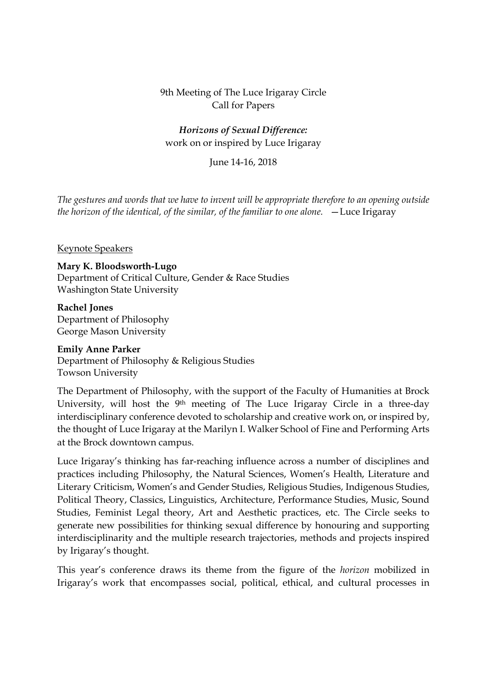### 9th Meeting of The Luce Irigaray Circle Call for Papers

# *Horizons of Sexual Difference:*  work on or inspired by Luce Irigaray

## June 14-16, 2018

*The gestures and words that we have to invent will be appropriate therefore to an opening outside the horizon of the identical, of the similar, of the familiar to one alone.* —Luce Irigaray

#### Keynote Speakers

**Mary K. Bloodsworth-Lugo** Department of Critical Culture, Gender & Race Studies Washington State University

**Rachel Jones** Department of Philosophy George Mason University

#### **Emily Anne Parker**

Department of Philosophy & Religious Studies Towson University

The Department of Philosophy, with the support of the Faculty of Humanities at Brock University, will host the 9<sup>th</sup> meeting of The Luce Irigaray Circle in a three-day interdisciplinary conference devoted to scholarship and creative work on, or inspired by, the thought of Luce Irigaray at the Marilyn I. Walker School of Fine and Performing Arts at the Brock downtown campus.

Luce Irigaray's thinking has far-reaching influence across a number of disciplines and practices including Philosophy, the Natural Sciences, Women's Health, Literature and Literary Criticism, Women's and Gender Studies, Religious Studies, Indigenous Studies, Political Theory, Classics, Linguistics, Architecture, Performance Studies, Music, Sound Studies, Feminist Legal theory, Art and Aesthetic practices, etc. The Circle seeks to generate new possibilities for thinking sexual difference by honouring and supporting interdisciplinarity and the multiple research trajectories, methods and projects inspired by Irigaray's thought.

This year's conference draws its theme from the figure of the *horizon* mobilized in Irigaray's work that encompasses social, political, ethical, and cultural processes in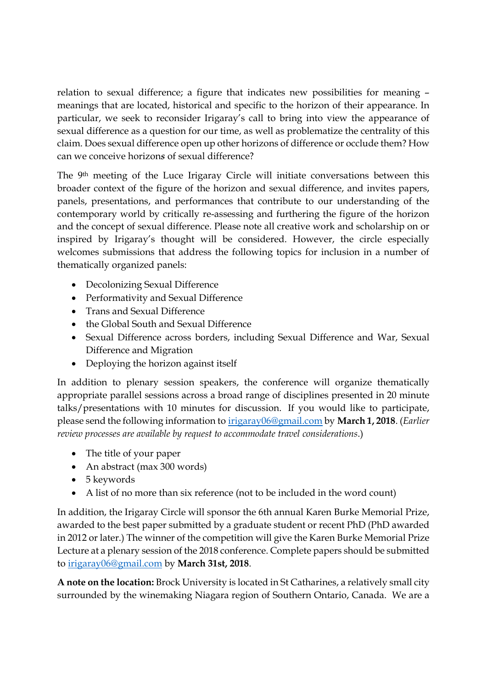relation to sexual difference; a figure that indicates new possibilities for meaning – meanings that are located, historical and specific to the horizon of their appearance. In particular, we seek to reconsider Irigaray's call to bring into view the appearance of sexual difference as a question for our time, as well as problematize the centrality of this claim. Does sexual difference open up other horizons of difference or occlude them? How can we conceive horizon*s* of sexual difference?

The 9th meeting of the Luce Irigaray Circle will initiate conversations between this broader context of the figure of the horizon and sexual difference, and invites papers, panels, presentations, and performances that contribute to our understanding of the contemporary world by critically re-assessing and furthering the figure of the horizon and the concept of sexual difference. Please note all creative work and scholarship on or inspired by Irigaray's thought will be considered. However, the circle especially welcomes submissions that address the following topics for inclusion in a number of thematically organized panels:

- Decolonizing Sexual Difference
- Performativity and Sexual Difference
- Trans and Sexual Difference
- the Global South and Sexual Difference
- Sexual Difference across borders, including Sexual Difference and War, Sexual Difference and Migration
- Deploying the horizon against itself

In addition to plenary session speakers, the conference will organize thematically appropriate parallel sessions across a broad range of disciplines presented in 20 minute talks/presentations with 10 minutes for discussion. If you would like to participate, please send the following information to irigaray06@gmail.com by **March 1, 2018**. (*Earlier review processes are available by request to accommodate travel considerations*.)

- The title of your paper
- An abstract (max 300 words)
- 5 keywords
- A list of no more than six reference (not to be included in the word count)

In addition, the Irigaray Circle will sponsor the 6th annual Karen Burke Memorial Prize, awarded to the best paper submitted by a graduate student or recent PhD (PhD awarded in 2012 or later.) The winner of the competition will give the Karen Burke Memorial Prize Lecture at a plenary session of the 2018 conference. Complete papers should be submitted to irigaray06@gmail.com by **March 31st, 2018**.

**A note on the location:** Brock University is located in St Catharines, a relatively small city surrounded by the winemaking Niagara region of Southern Ontario, Canada. We are a